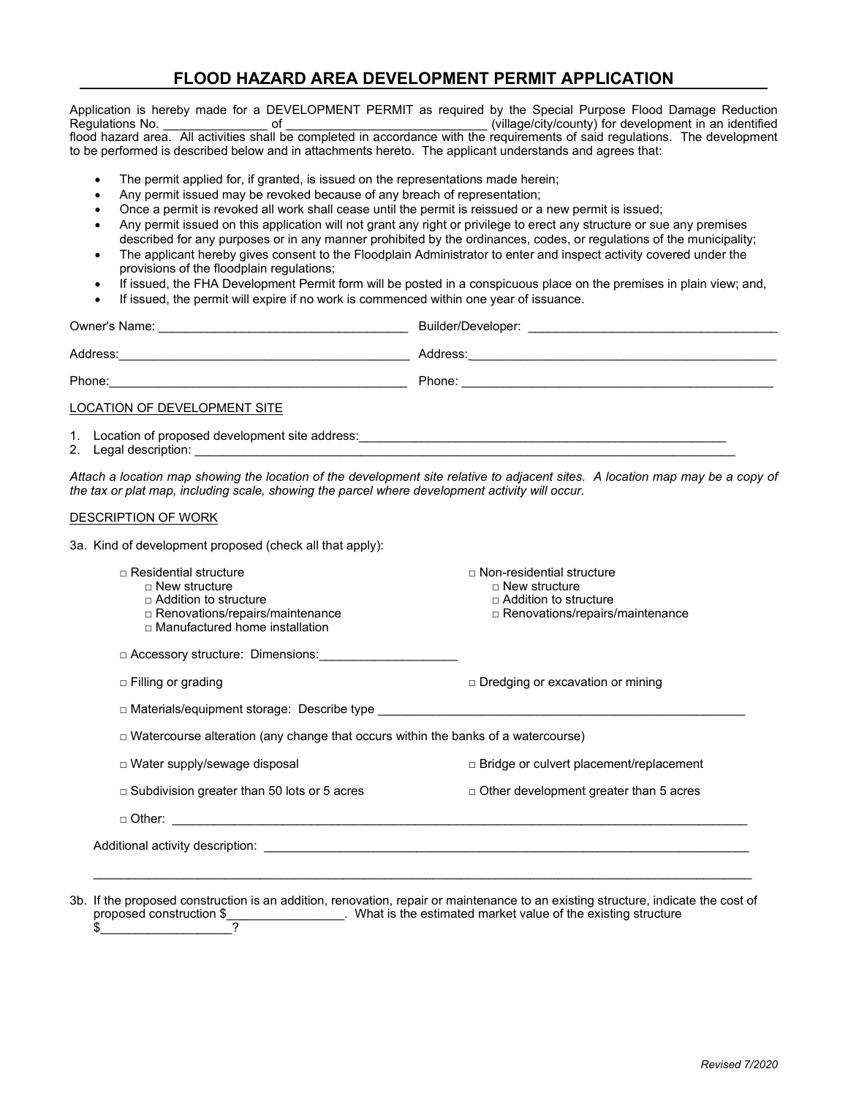### **FLOOD HAZARD AREA DEVELOPMENT PERMIT APPLICATION**

Application is hereby made for a DEVELOPMENT PERMIT as required by the Special Purpose Flood Damage Reduction Regulations No. **Example 3** of the contract of the contract of the contract of the contract of the contract of the contract of the contract of the contract of the contract of the contract of the contract of the contract of flood hazard area. All activities shall be completed in accordance with the requirements of said regulations. The development to be performed is described below and in attachments hereto. The applicant understands and agrees that:

- The permit applied for, if granted, is issued on the representations made herein;
- Any permit issued may be revoked because of any breach of representation;
- Once a permit is revoked all work shall cease until the permit is reissued or a new permit is issued;
- Any permit issued on this application will not grant any right or privilege to erect any structure or sue any premises described for any purposes or in any manner prohibited by the ordinances, codes, or regulations of the municipality;
- The applicant hereby gives consent to the Floodplain Administrator to enter and inspect activity covered under the provisions of the floodplain regulations;
- If issued, the FHA Development Permit form will be posted in a conspicuous place on the premises in plain view; and,
- If issued, the permit will expire if no work is commenced within one year of issuance.

| Address:                                                                                                                                        |  |  |  |  |
|-------------------------------------------------------------------------------------------------------------------------------------------------|--|--|--|--|
|                                                                                                                                                 |  |  |  |  |
| LOCATION OF DEVELOPMENT SITE                                                                                                                    |  |  |  |  |
| 1. Location of proposed development site address: example and analytical control of proposed development site address:<br>2. Legal description: |  |  |  |  |

*Attach a location map showing the location of the development site relative to adjacent sites. A location map may be a copy of the tax or plat map, including scale, showing the parcel where development activity will occur.*

#### DESCRIPTION OF WORK

|  |  | 3a. Kind of development proposed (check all that apply): |  |  |  |
|--|--|----------------------------------------------------------|--|--|--|
|--|--|----------------------------------------------------------|--|--|--|

| $\sqcap$ Residential structure<br>$\Box$ New structure<br>$\Box$ Addition to structure<br>□ Renovations/repairs/maintenance<br>□ Manufactured home installation | $\sqcap$ Non-residential structure<br>$\Box$ New structure<br>$\Box$ Addition to structure<br>□ Renovations/repairs/maintenance |  |  |  |
|-----------------------------------------------------------------------------------------------------------------------------------------------------------------|---------------------------------------------------------------------------------------------------------------------------------|--|--|--|
| □ Accessory structure: Dimensions:                                                                                                                              |                                                                                                                                 |  |  |  |
| $\Box$ Filling or grading                                                                                                                                       | $\Box$ Dredging or excavation or mining                                                                                         |  |  |  |
| $\Box$ Materials/equipment storage: Describe type $\Box$                                                                                                        |                                                                                                                                 |  |  |  |
| $\Box$ Watercourse alteration (any change that occurs within the banks of a watercourse)                                                                        |                                                                                                                                 |  |  |  |
| $\Box$ Water supply/sewage disposal                                                                                                                             | $\Box$ Bridge or culvert placement/replacement                                                                                  |  |  |  |
| $\Box$ Subdivision greater than 50 lots or 5 acres                                                                                                              | $\Box$ Other development greater than 5 acres                                                                                   |  |  |  |
|                                                                                                                                                                 |                                                                                                                                 |  |  |  |
| Additional activity description:                                                                                                                                |                                                                                                                                 |  |  |  |

3b. If the proposed construction is an addition, renovation, repair or maintenance to an existing structure, indicate the cost of proposed construction \$ proposed construction  $\frac{2}{?}$  What is the estimated market value of the existing structure  $\frac{1}{2}$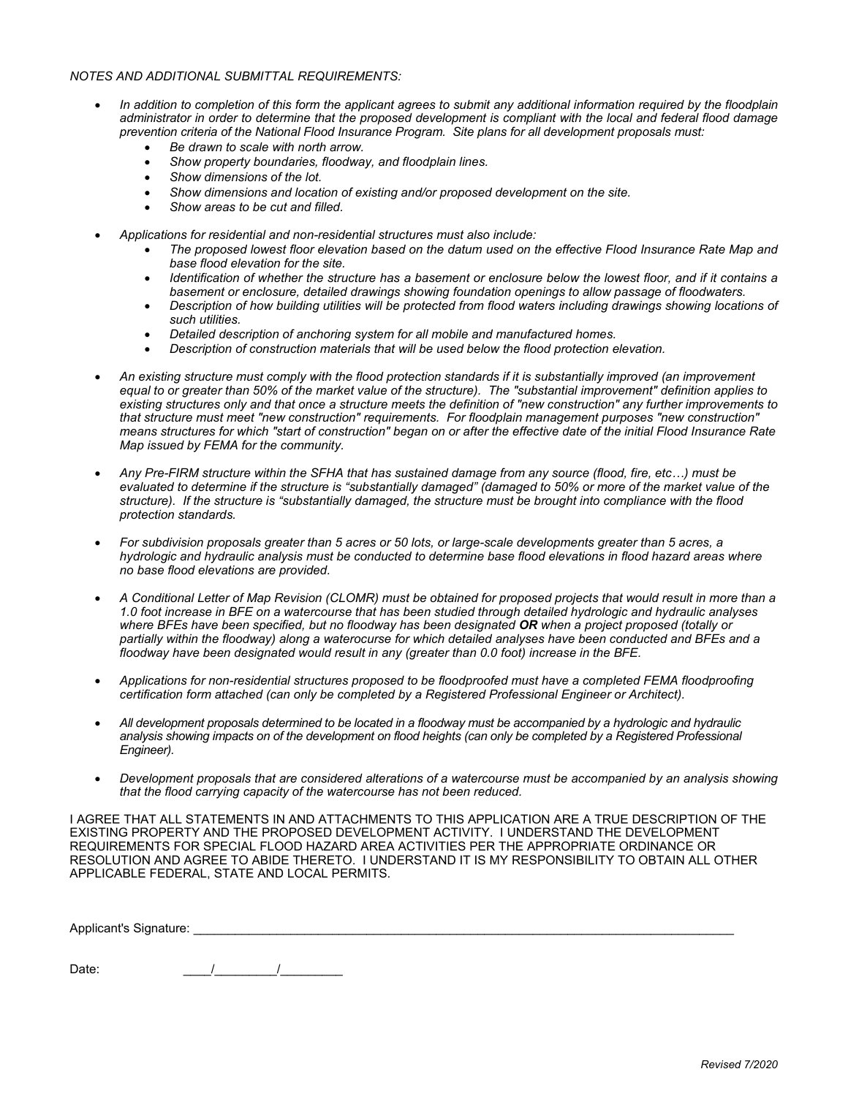#### *NOTES AND ADDITIONAL SUBMITTAL REQUIREMENTS:*

- *In addition to completion of this form the applicant agrees to submit any additional information required by the floodplain administrator in order to determine that the proposed development is compliant with the local and federal flood damage prevention criteria of the National Flood Insurance Program. Site plans for all development proposals must:* 
	- *Be drawn to scale with north arrow.*
	- *Show property boundaries, floodway, and floodplain lines.*
	- *Show dimensions of the lot.*
	- *Show dimensions and location of existing and/or proposed development on the site.*
	- *Show areas to be cut and filled.*
- *Applications for residential and non-residential structures must also include:*
	- *The proposed lowest floor elevation based on the datum used on the effective Flood Insurance Rate Map and base flood elevation for the site.*
	- *Identification of whether the structure has a basement or enclosure below the lowest floor, and if it contains a basement or enclosure, detailed drawings showing foundation openings to allow passage of floodwaters.*
	- *Description of how building utilities will be protected from flood waters including drawings showing locations of such utilities.*
	- *Detailed description of anchoring system for all mobile and manufactured homes.*
	- *Description of construction materials that will be used below the flood protection elevation.*
- *An existing structure must comply with the flood protection standards if it is substantially improved (an improvement equal to or greater than 50% of the market value of the structure). The "substantial improvement" definition applies to existing structures only and that once a structure meets the definition of "new construction" any further improvements to that structure must meet "new construction" requirements. For floodplain management purposes "new construction" means structures for which "start of construction" began on or after the effective date of the initial Flood Insurance Rate Map issued by FEMA for the community.*
- *Any Pre-FIRM structure within the SFHA that has sustained damage from any source (flood, fire, etc…) must be evaluated to determine if the structure is "substantially damaged" (damaged to 50% or more of the market value of the structure). If the structure is "substantially damaged, the structure must be brought into compliance with the flood protection standards.*
- *For subdivision proposals greater than 5 acres or 50 lots, or large-scale developments greater than 5 acres, a hydrologic and hydraulic analysis must be conducted to determine base flood elevations in flood hazard areas where no base flood elevations are provided.*
- *A Conditional Letter of Map Revision (CLOMR) must be obtained for proposed projects that would result in more than a 1.0 foot increase in BFE on a watercourse that has been studied through detailed hydrologic and hydraulic analyses where BFEs have been specified, but no floodway has been designated OR when a project proposed (totally or partially within the floodway) along a waterocurse for which detailed analyses have been conducted and BFEs and a floodway have been designated would result in any (greater than 0.0 foot) increase in the BFE.*
- *Applications for non-residential structures proposed to be floodproofed must have a completed FEMA floodproofing certification form attached (can only be completed by a Registered Professional Engineer or Architect).*
- *All development proposals determined to be located in a floodway must be accompanied by a hydrologic and hydraulic analysis showing impacts on of the development on flood heights (can only be completed by a Registered Professional Engineer).*
- *Development proposals that are considered alterations of a watercourse must be accompanied by an analysis showing that the flood carrying capacity of the watercourse has not been reduced.*

I AGREE THAT ALL STATEMENTS IN AND ATTACHMENTS TO THIS APPLICATION ARE A TRUE DESCRIPTION OF THE EXISTING PROPERTY AND THE PROPOSED DEVELOPMENT ACTIVITY. I UNDERSTAND THE DEVELOPMENT REQUIREMENTS FOR SPECIAL FLOOD HAZARD AREA ACTIVITIES PER THE APPROPRIATE ORDINANCE OR RESOLUTION AND AGREE TO ABIDE THERETO. I UNDERSTAND IT IS MY RESPONSIBILITY TO OBTAIN ALL OTHER APPLICABLE FEDERAL, STATE AND LOCAL PERMITS.

Applicant's Signature: \_\_\_\_\_\_\_\_\_\_\_\_\_\_\_\_\_\_\_\_\_\_\_\_\_\_\_\_\_\_\_\_\_\_\_\_\_\_\_\_\_\_\_\_\_\_\_\_\_\_\_\_\_\_\_\_\_\_\_\_\_\_\_\_\_\_\_\_\_\_\_\_\_\_\_\_\_\_

Date:  $\frac{1}{\sqrt{1-\frac{1}{2}}}\frac{1}{\sqrt{1-\frac{1}{2}}}\frac{1}{\sqrt{1-\frac{1}{2}}}\frac{1}{\sqrt{1-\frac{1}{2}}}\frac{1}{\sqrt{1-\frac{1}{2}}}\frac{1}{\sqrt{1-\frac{1}{2}}}\frac{1}{\sqrt{1-\frac{1}{2}}}\frac{1}{\sqrt{1-\frac{1}{2}}}\frac{1}{\sqrt{1-\frac{1}{2}}}\frac{1}{\sqrt{1-\frac{1}{2}}}\frac{1}{\sqrt{1-\frac{1}{2}}}\frac{1}{\sqrt{1-\frac{1}{2}}}\frac{1}{\sqrt{1-\frac{1}{2}}}\frac{1}{\$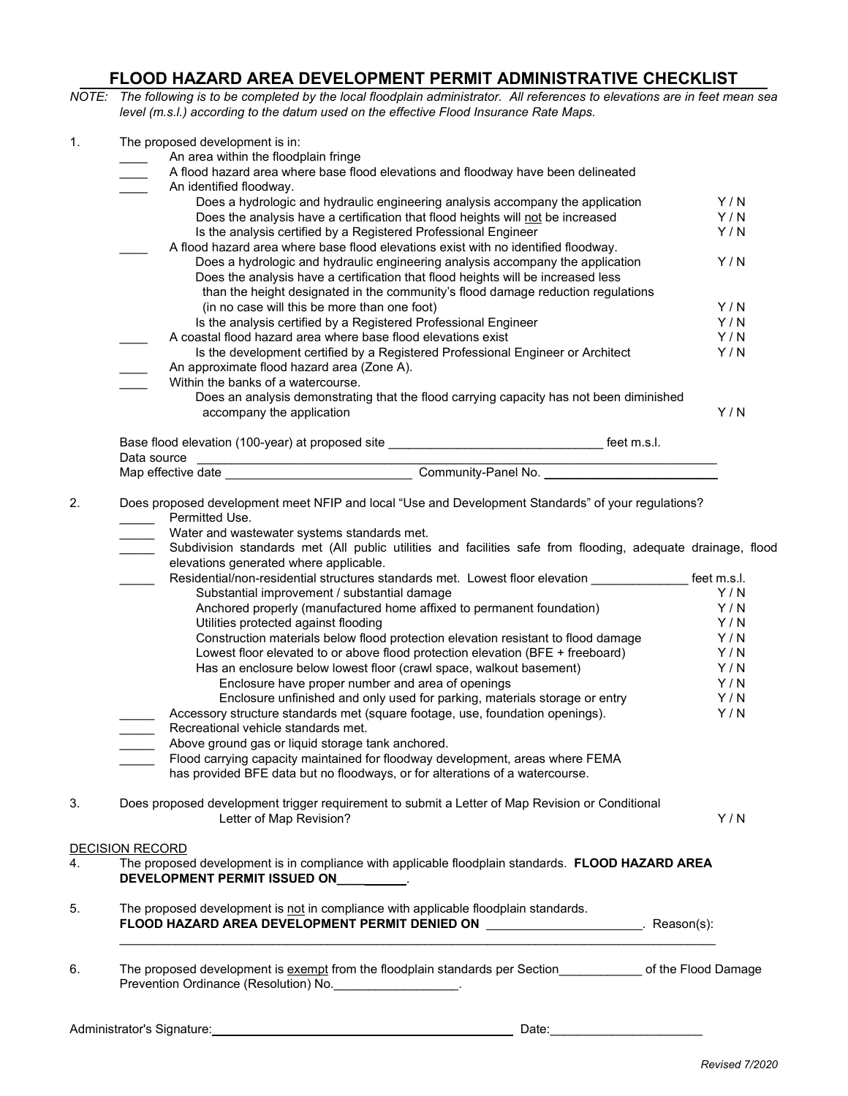## **FLOOD HAZARD AREA DEVELOPMENT PERMIT ADMINISTRATIVE CHECKLIST**

*NOTE: The following is to be completed by the local floodplain administrator. All references to elevations are in feet mean sea level (m.s.l.) according to the datum used on the effective Flood Insurance Rate Maps.* 

| 1. | The proposed development is in:<br>An area within the floodplain fringe                                                                                                                                                                                                                                                                                                                                                                                                                                                                                                                                                                                                                                                                                                                                                                                                                                                                                                                                                                                                                                                                                                                                                                                                                                                                  |                                                             |
|----|------------------------------------------------------------------------------------------------------------------------------------------------------------------------------------------------------------------------------------------------------------------------------------------------------------------------------------------------------------------------------------------------------------------------------------------------------------------------------------------------------------------------------------------------------------------------------------------------------------------------------------------------------------------------------------------------------------------------------------------------------------------------------------------------------------------------------------------------------------------------------------------------------------------------------------------------------------------------------------------------------------------------------------------------------------------------------------------------------------------------------------------------------------------------------------------------------------------------------------------------------------------------------------------------------------------------------------------|-------------------------------------------------------------|
|    | $\mathcal{L}_{\text{max}}$<br>A flood hazard area where base flood elevations and floodway have been delineated                                                                                                                                                                                                                                                                                                                                                                                                                                                                                                                                                                                                                                                                                                                                                                                                                                                                                                                                                                                                                                                                                                                                                                                                                          |                                                             |
|    | An identified floodway.<br>$\mathcal{L}(\mathcal{L})$                                                                                                                                                                                                                                                                                                                                                                                                                                                                                                                                                                                                                                                                                                                                                                                                                                                                                                                                                                                                                                                                                                                                                                                                                                                                                    |                                                             |
|    | Does a hydrologic and hydraulic engineering analysis accompany the application                                                                                                                                                                                                                                                                                                                                                                                                                                                                                                                                                                                                                                                                                                                                                                                                                                                                                                                                                                                                                                                                                                                                                                                                                                                           | Y/N                                                         |
|    | Does the analysis have a certification that flood heights will not be increased                                                                                                                                                                                                                                                                                                                                                                                                                                                                                                                                                                                                                                                                                                                                                                                                                                                                                                                                                                                                                                                                                                                                                                                                                                                          | Y/N                                                         |
|    | Is the analysis certified by a Registered Professional Engineer                                                                                                                                                                                                                                                                                                                                                                                                                                                                                                                                                                                                                                                                                                                                                                                                                                                                                                                                                                                                                                                                                                                                                                                                                                                                          | Y/N                                                         |
|    | A flood hazard area where base flood elevations exist with no identified floodway.                                                                                                                                                                                                                                                                                                                                                                                                                                                                                                                                                                                                                                                                                                                                                                                                                                                                                                                                                                                                                                                                                                                                                                                                                                                       |                                                             |
|    | Does a hydrologic and hydraulic engineering analysis accompany the application<br>Does the analysis have a certification that flood heights will be increased less                                                                                                                                                                                                                                                                                                                                                                                                                                                                                                                                                                                                                                                                                                                                                                                                                                                                                                                                                                                                                                                                                                                                                                       | Y/N                                                         |
|    | than the height designated in the community's flood damage reduction regulations                                                                                                                                                                                                                                                                                                                                                                                                                                                                                                                                                                                                                                                                                                                                                                                                                                                                                                                                                                                                                                                                                                                                                                                                                                                         |                                                             |
|    | (in no case will this be more than one foot)                                                                                                                                                                                                                                                                                                                                                                                                                                                                                                                                                                                                                                                                                                                                                                                                                                                                                                                                                                                                                                                                                                                                                                                                                                                                                             | Y/N                                                         |
|    | Is the analysis certified by a Registered Professional Engineer                                                                                                                                                                                                                                                                                                                                                                                                                                                                                                                                                                                                                                                                                                                                                                                                                                                                                                                                                                                                                                                                                                                                                                                                                                                                          | Y/N                                                         |
|    | A coastal flood hazard area where base flood elevations exist                                                                                                                                                                                                                                                                                                                                                                                                                                                                                                                                                                                                                                                                                                                                                                                                                                                                                                                                                                                                                                                                                                                                                                                                                                                                            | Y/N                                                         |
|    | Is the development certified by a Registered Professional Engineer or Architect                                                                                                                                                                                                                                                                                                                                                                                                                                                                                                                                                                                                                                                                                                                                                                                                                                                                                                                                                                                                                                                                                                                                                                                                                                                          | Y/N                                                         |
|    | An approximate flood hazard area (Zone A).                                                                                                                                                                                                                                                                                                                                                                                                                                                                                                                                                                                                                                                                                                                                                                                                                                                                                                                                                                                                                                                                                                                                                                                                                                                                                               |                                                             |
|    | Within the banks of a watercourse.                                                                                                                                                                                                                                                                                                                                                                                                                                                                                                                                                                                                                                                                                                                                                                                                                                                                                                                                                                                                                                                                                                                                                                                                                                                                                                       |                                                             |
|    | Does an analysis demonstrating that the flood carrying capacity has not been diminished<br>accompany the application                                                                                                                                                                                                                                                                                                                                                                                                                                                                                                                                                                                                                                                                                                                                                                                                                                                                                                                                                                                                                                                                                                                                                                                                                     | Y/N                                                         |
|    |                                                                                                                                                                                                                                                                                                                                                                                                                                                                                                                                                                                                                                                                                                                                                                                                                                                                                                                                                                                                                                                                                                                                                                                                                                                                                                                                          |                                                             |
|    | Data source                                                                                                                                                                                                                                                                                                                                                                                                                                                                                                                                                                                                                                                                                                                                                                                                                                                                                                                                                                                                                                                                                                                                                                                                                                                                                                                              |                                                             |
|    |                                                                                                                                                                                                                                                                                                                                                                                                                                                                                                                                                                                                                                                                                                                                                                                                                                                                                                                                                                                                                                                                                                                                                                                                                                                                                                                                          |                                                             |
| 2. | Does proposed development meet NFIP and local "Use and Development Standards" of your regulations?<br>Permitted Use.<br>Water and wastewater systems standards met.<br>Subdivision standards met (All public utilities and facilities safe from flooding, adequate drainage, flood<br>elevations generated where applicable.<br>Residential/non-residential structures standards met. Lowest floor elevation _______________ feet m.s.l.<br>Substantial improvement / substantial damage<br>Anchored properly (manufactured home affixed to permanent foundation)<br>Utilities protected against flooding<br>Construction materials below flood protection elevation resistant to flood damage<br>Lowest floor elevated to or above flood protection elevation (BFE + freeboard)<br>Has an enclosure below lowest floor (crawl space, walkout basement)<br>Enclosure have proper number and area of openings<br>Enclosure unfinished and only used for parking, materials storage or entry<br>Accessory structure standards met (square footage, use, foundation openings).<br>Recreational vehicle standards met.<br>Above ground gas or liquid storage tank anchored.<br>Flood carrying capacity maintained for floodway development, areas where FEMA<br>has provided BFE data but no floodways, or for alterations of a watercourse. | Y/N<br>Y/N<br>Y/N<br>Y/N<br>Y/N<br>Y/N<br>Y/N<br>Y/N<br>Y/N |
| 3. | Does proposed development trigger requirement to submit a Letter of Map Revision or Conditional<br>Letter of Map Revision?                                                                                                                                                                                                                                                                                                                                                                                                                                                                                                                                                                                                                                                                                                                                                                                                                                                                                                                                                                                                                                                                                                                                                                                                               | Y/N                                                         |
|    |                                                                                                                                                                                                                                                                                                                                                                                                                                                                                                                                                                                                                                                                                                                                                                                                                                                                                                                                                                                                                                                                                                                                                                                                                                                                                                                                          |                                                             |
| 4. | <b>DECISION RECORD</b><br>The proposed development is in compliance with applicable floodplain standards. FLOOD HAZARD AREA<br>DEVELOPMENT PERMIT ISSUED ON_________.                                                                                                                                                                                                                                                                                                                                                                                                                                                                                                                                                                                                                                                                                                                                                                                                                                                                                                                                                                                                                                                                                                                                                                    |                                                             |
| 5. | The proposed development is not in compliance with applicable floodplain standards.<br>FLOOD HAZARD AREA DEVELOPMENT PERMIT DENIED ON _______________________. Reason(s):                                                                                                                                                                                                                                                                                                                                                                                                                                                                                                                                                                                                                                                                                                                                                                                                                                                                                                                                                                                                                                                                                                                                                                |                                                             |
| 6. | The proposed development is exempt from the floodplain standards per Section_____________ of the Flood Damage<br>Prevention Ordinance (Resolution) No. __________________.                                                                                                                                                                                                                                                                                                                                                                                                                                                                                                                                                                                                                                                                                                                                                                                                                                                                                                                                                                                                                                                                                                                                                               |                                                             |